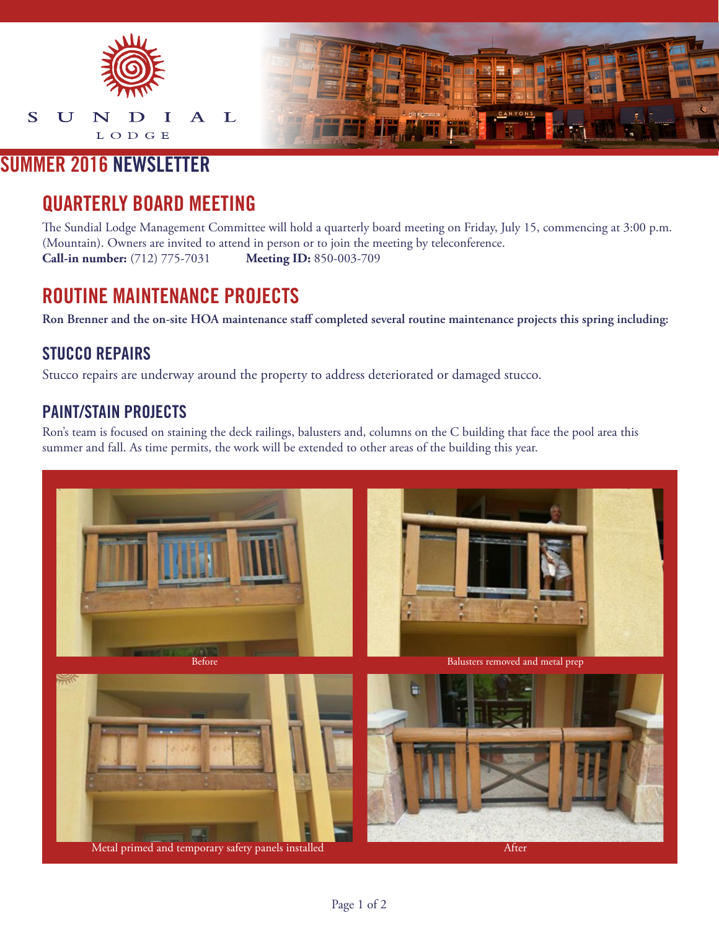

### **ER 2016 NEWSLETTER**

## **QUARTERLY BOARD MEETING**

The Sundial Lodge Management Committee will hold a quarterly board meeting on Friday, July 15, commencing at 3:00 p.m. (Mountain). Owners are invited to attend in person or to join the meeting by teleconference. **Call-in number:** (712) 775-7031 **Meeting ID:** 850-003-709

## **ROUTINE MAINTENANCE PROJECTS**

**Ron Brenner and the on-site HOA maintenance staff completed several routine maintenance projects this spring including:**

### **STUCCO REPAIRS**

Stucco repairs are underway around the property to address deteriorated or damaged stucco.

#### **PAINT/STAIN PROJECTS**

Ron's team is focused on staining the deck railings, balusters and, columns on the C building that face the pool area this summer and fall. As time permits, the work will be extended to other areas of the building this year.